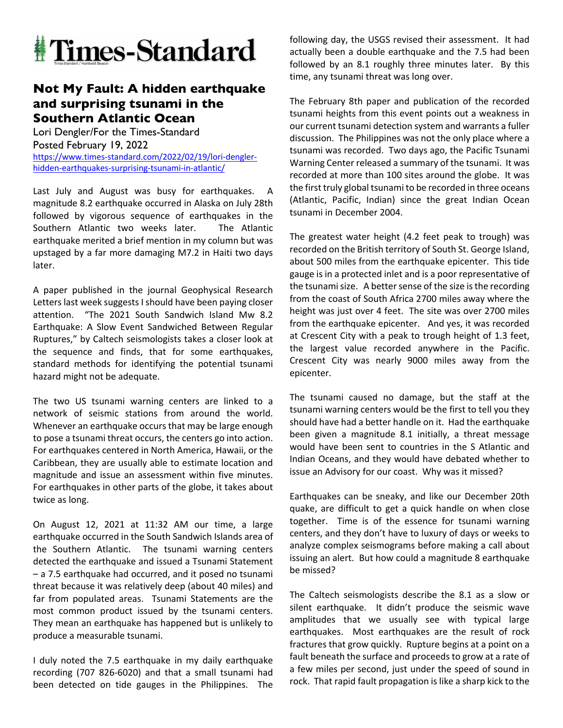

## **Not My Fault: A hidden earthquake and surprising tsunami in the Southern Atlantic Ocean**

Lori Dengler/For the Times-Standard Posted February 19, 2022 https://www.times-standard.com/2022/02/19/lori-denglerhidden-earthquakes-surprising-tsunami-in-atlantic/

Last July and August was busy for earthquakes. magnitude 8.2 earthquake occurred in Alaska on July 28th followed by vigorous sequence of earthquakes in the Southern Atlantic two weeks later. The Atlantic earthquake merited a brief mention in my column but was upstaged by a far more damaging M7.2 in Haiti two days later.

A paper published in the journal Geophysical Research Letters last week suggests I should have been paying closer attention. "The 2021 South Sandwich Island Mw 8.2 Earthquake: A Slow Event Sandwiched Between Regular Ruptures," by Caltech seismologists takes a closer look at the sequence and finds, that for some earthquakes, standard methods for identifying the potential tsunami hazard might not be adequate.

The two US tsunami warning centers are linked to a network of seismic stations from around the world. Whenever an earthquake occurs that may be large enough to pose a tsunami threat occurs, the centers go into action. For earthquakes centered in North America, Hawaii, or the Caribbean, they are usually able to estimate location and magnitude and issue an assessment within five minutes. For earthquakes in other parts of the globe, it takes about twice as long.

On August 12, 2021 at 11:32 AM our time, a large earthquake occurred in the South Sandwich Islands area of the Southern Atlantic. The tsunami warning centers detected the earthquake and issued a Tsunami Statement – a 7.5 earthquake had occurred, and it posed no tsunami threat because it was relatively deep (about 40 miles) and far from populated areas. Tsunami Statements are the most common product issued by the tsunami centers. They mean an earthquake has happened but is unlikely to produce a measurable tsunami.

I duly noted the 7.5 earthquake in my daily earthquake recording (707 826-6020) and that a small tsunami had been detected on tide gauges in the Philippines. The following day, the USGS revised their assessment. It had actually been a double earthquake and the 7.5 had been followed by an 8.1 roughly three minutes later. By this time, any tsunami threat was long over.

The February 8th paper and publication of the recorded tsunami heights from this event points out a weakness in our current tsunami detection system and warrants a fuller discussion. The Philippines was not the only place where a tsunami was recorded. Two days ago, the Pacific Tsunami Warning Center released a summary of the tsunami. It was recorded at more than 100 sites around the globe. It was the first truly global tsunami to be recorded in three oceans (Atlantic, Pacific, Indian) since the great Indian Ocean tsunami in December 2004.

The greatest water height (4.2 feet peak to trough) was recorded on the British territory of South St. George Island, about 500 miles from the earthquake epicenter. This tide gauge is in a protected inlet and is a poor representative of the tsunami size. A better sense of the size is the recording from the coast of South Africa 2700 miles away where the height was just over 4 feet. The site was over 2700 miles from the earthquake epicenter. And yes, it was recorded at Crescent City with a peak to trough height of 1.3 feet, the largest value recorded anywhere in the Pacific. Crescent City was nearly 9000 miles away from the epicenter.

The tsunami caused no damage, but the staff at the tsunami warning centers would be the first to tell you they should have had a better handle on it. Had the earthquake been given a magnitude 8.1 initially, a threat message would have been sent to countries in the S Atlantic and Indian Oceans, and they would have debated whether to issue an Advisory for our coast. Why was it missed?

Earthquakes can be sneaky, and like our December 20th quake, are difficult to get a quick handle on when close together. Time is of the essence for tsunami warning centers, and they don't have to luxury of days or weeks to analyze complex seismograms before making a call about issuing an alert. But how could a magnitude 8 earthquake be missed?

The Caltech seismologists describe the 8.1 as a slow or silent earthquake. It didn't produce the seismic wave amplitudes that we usually see with typical large earthquakes. Most earthquakes are the result of rock fractures that grow quickly. Rupture begins at a point on a fault beneath the surface and proceeds to grow at a rate of a few miles per second, just under the speed of sound in rock. That rapid fault propagation is like a sharp kick to the